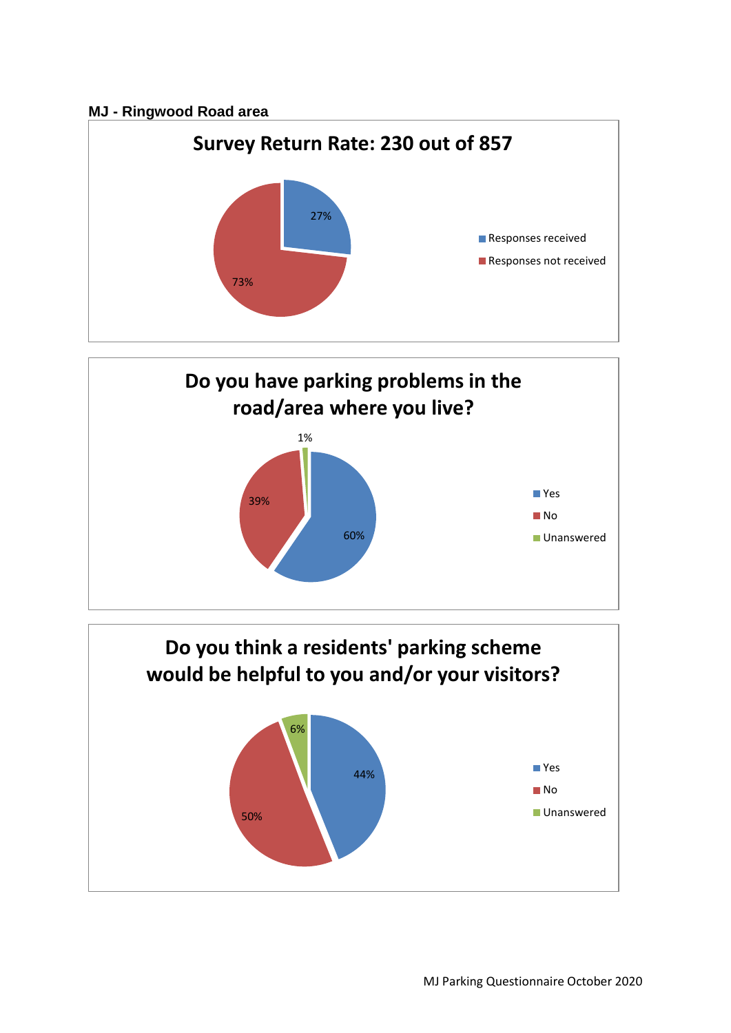## **MJ - Ringwood Road area**





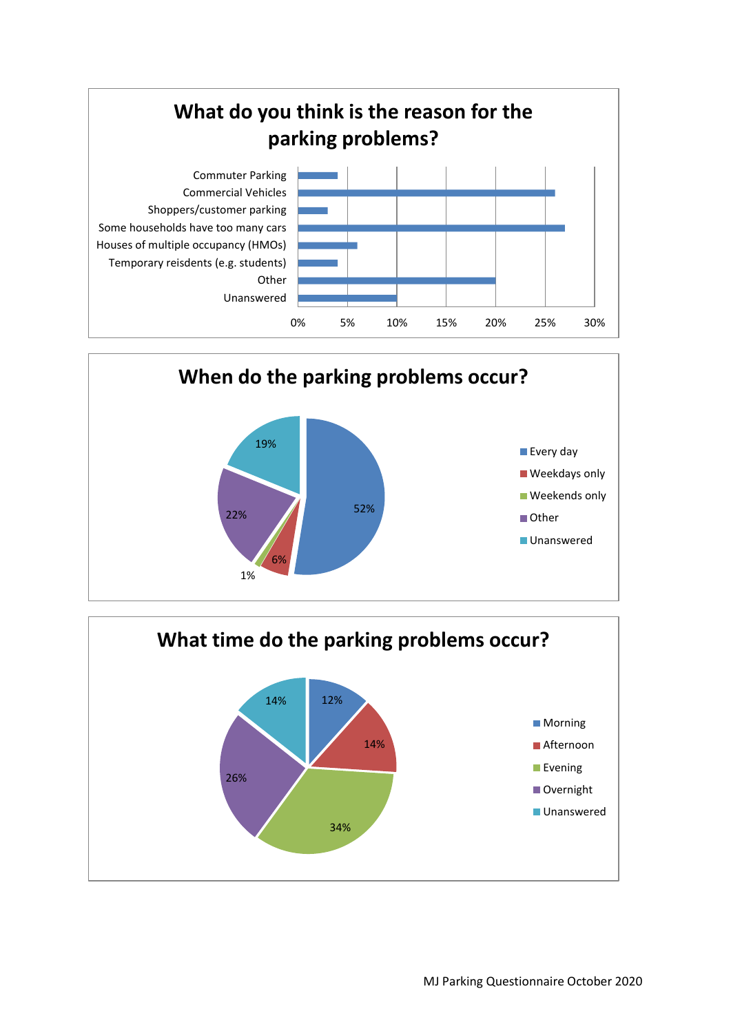



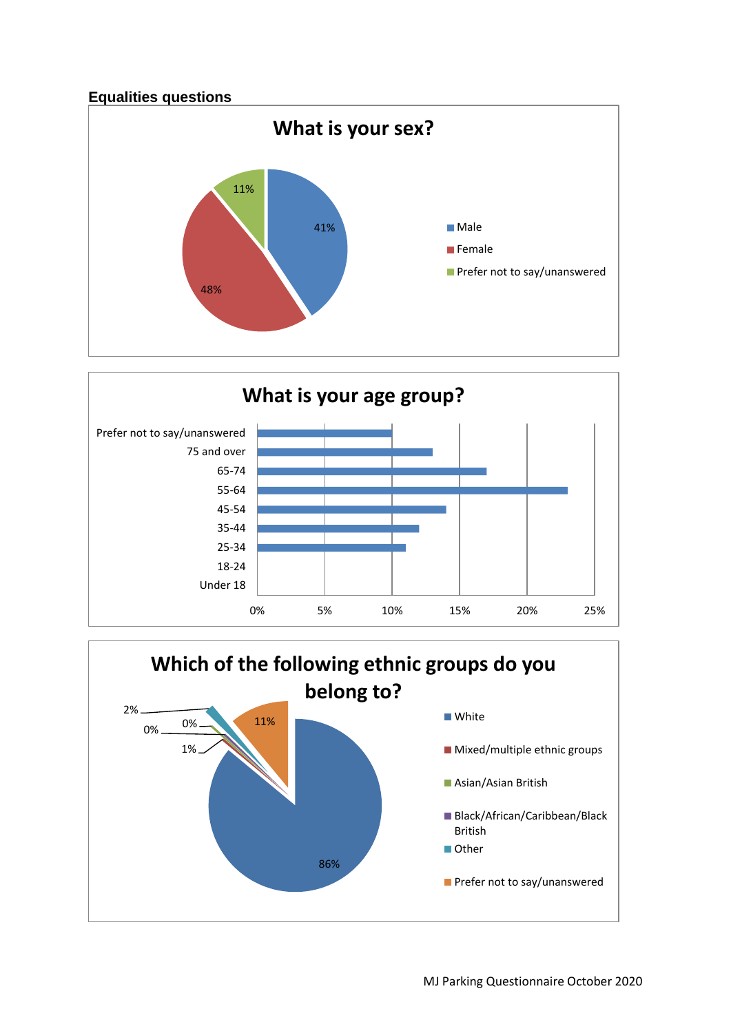



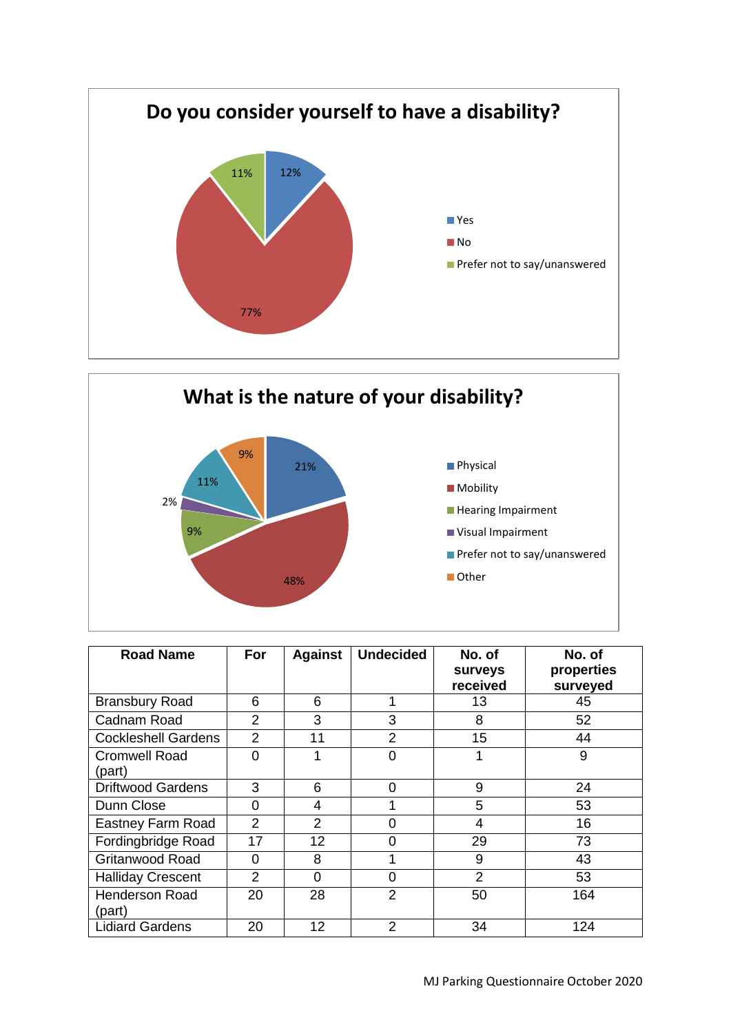



| <b>Road Name</b>                | <b>For</b>     | <b>Against</b>    | <b>Undecided</b> | No. of<br><b>surveys</b><br>received | No. of<br>properties<br>surveyed |
|---------------------------------|----------------|-------------------|------------------|--------------------------------------|----------------------------------|
| <b>Bransbury Road</b>           | 6              | 6                 | 1                | 13                                   | 45                               |
| Cadnam Road                     | $\overline{2}$ | 3                 | 3                | 8                                    | 52                               |
| <b>Cockleshell Gardens</b>      | $\overline{2}$ | 11                | $\overline{2}$   | 15                                   | 44                               |
| <b>Cromwell Road</b><br>(part)  | $\Omega$       | 4                 | 0                | 1                                    | 9                                |
| <b>Driftwood Gardens</b>        | 3              | 6                 | 0                | 9                                    | 24                               |
| Dunn Close                      | $\overline{0}$ | $\overline{4}$    |                  | 5                                    | 53                               |
| Eastney Farm Road               | $\overline{2}$ | 2                 | ი                | 4                                    | 16                               |
| Fordingbridge Road              | 17             | 12 <sub>2</sub>   | 0                | 29                                   | 73                               |
| <b>Gritanwood Road</b>          | 0              | 8                 | 4                | 9                                    | 43                               |
| <b>Halliday Crescent</b>        | $\overline{2}$ | 0                 | 0                | 2                                    | 53                               |
| <b>Henderson Road</b><br>(part) | 20             | 28                | $\overline{2}$   | 50                                   | 164                              |
| <b>Lidiard Gardens</b>          | 20             | $12 \overline{ }$ | $\overline{2}$   | 34                                   | 124                              |